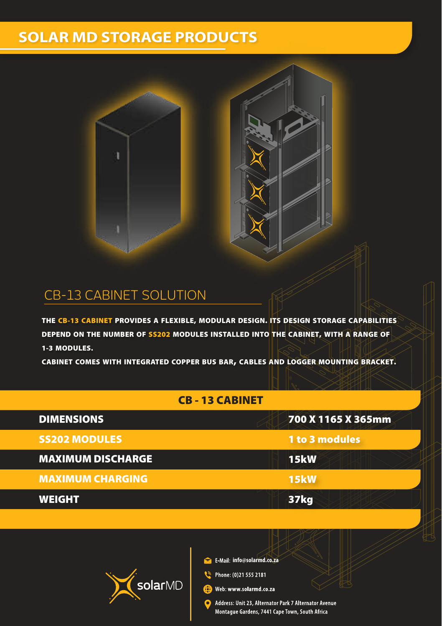## **SOLAR MD STORAGE PRODUCTS**





#### CB-13 CABINET SOLUTION

THE CB-13 CABINET PROVIDES A FLEXIBLE, MODULAR DESIGN. ITS DESIGN STORAGE CAPABILITIES DEPEND ON THE NUMBER OF SS202 MODULES INSTALLED INTO THE CABINET, WITH A RANGE OF 1-3 MODULES.

CABINET COMES WITH INTEGRATED COPPER BUS BAR, CABLES AND LOGGER MOUNTING BRACKET.

#### CB - 13 CABINET

| <b>DIMENSIONS</b>        | 700 X 1165 X 365mm |
|--------------------------|--------------------|
| <b>SS202 MODULES</b>     | 1 to 3 modules     |
| <b>MAXIMUM DISCHARGE</b> | <b>15kW</b>        |
| <b>MAXIMUM CHARGING</b>  | <b>15kW</b>        |
| <b>WEIGHT</b>            | <b>37kg</b>        |



**info@solarmd.co.za** 

Phone: (0)21 555 2181

Web: www.solarmd.co.za ക

> Address: Unit 23, Alternator Park 7 Alternator Avenue Montague Gardens, 7441 Cape Town, South Africa